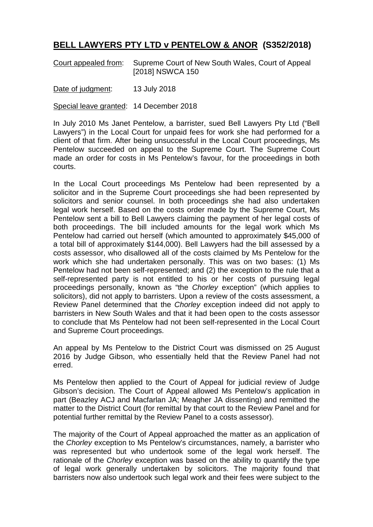## **BELL LAWYERS PTY LTD v PENTELOW & ANOR (S352/2018)**

Court appealed from: Supreme Court of New South Wales, Court of Appeal [2018] NSWCA 150

Date of judgment: 13 July 2018

Special leave granted: 14 December 2018

In July 2010 Ms Janet Pentelow, a barrister, sued Bell Lawyers Pty Ltd ("Bell Lawyers") in the Local Court for unpaid fees for work she had performed for a client of that firm. After being unsuccessful in the Local Court proceedings, Ms Pentelow succeeded on appeal to the Supreme Court. The Supreme Court made an order for costs in Ms Pentelow's favour, for the proceedings in both courts.

In the Local Court proceedings Ms Pentelow had been represented by a solicitor and in the Supreme Court proceedings she had been represented by solicitors and senior counsel. In both proceedings she had also undertaken legal work herself. Based on the costs order made by the Supreme Court, Ms Pentelow sent a bill to Bell Lawyers claiming the payment of her legal costs of both proceedings. The bill included amounts for the legal work which Ms Pentelow had carried out herself (which amounted to approximately \$45,000 of a total bill of approximately \$144,000). Bell Lawyers had the bill assessed by a costs assessor, who disallowed all of the costs claimed by Ms Pentelow for the work which she had undertaken personally. This was on two bases: (1) Ms Pentelow had not been self-represented; and (2) the exception to the rule that a self-represented party is not entitled to his or her costs of pursuing legal proceedings personally, known as "the *Chorley* exception" (which applies to solicitors), did not apply to barristers. Upon a review of the costs assessment, a Review Panel determined that the *Chorley* exception indeed did not apply to barristers in New South Wales and that it had been open to the costs assessor to conclude that Ms Pentelow had not been self-represented in the Local Court and Supreme Court proceedings.

An appeal by Ms Pentelow to the District Court was dismissed on 25 August 2016 by Judge Gibson, who essentially held that the Review Panel had not erred.

Ms Pentelow then applied to the Court of Appeal for judicial review of Judge Gibson's decision. The Court of Appeal allowed Ms Pentelow's application in part (Beazley ACJ and Macfarlan JA; Meagher JA dissenting) and remitted the matter to the District Court (for remittal by that court to the Review Panel and for potential further remittal by the Review Panel to a costs assessor).

The majority of the Court of Appeal approached the matter as an application of the *Chorley* exception to Ms Pentelow's circumstances, namely, a barrister who was represented but who undertook some of the legal work herself. The rationale of the *Chorley* exception was based on the ability to quantify the type of legal work generally undertaken by solicitors. The majority found that barristers now also undertook such legal work and their fees were subject to the